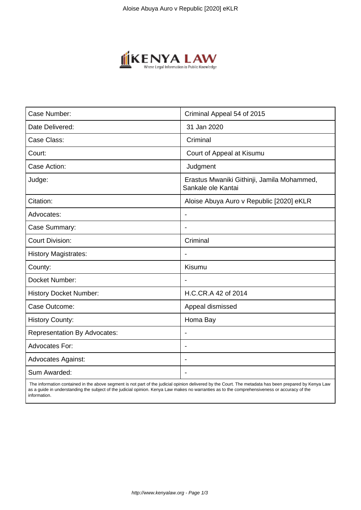

| Case Number:                        | Criminal Appeal 54 of 2015                                       |
|-------------------------------------|------------------------------------------------------------------|
| Date Delivered:                     | 31 Jan 2020                                                      |
| Case Class:                         | Criminal                                                         |
| Court:                              | Court of Appeal at Kisumu                                        |
| Case Action:                        | Judgment                                                         |
| Judge:                              | Erastus Mwaniki Githinji, Jamila Mohammed,<br>Sankale ole Kantai |
| Citation:                           | Aloise Abuya Auro v Republic [2020] eKLR                         |
| Advocates:                          |                                                                  |
| Case Summary:                       |                                                                  |
| <b>Court Division:</b>              | Criminal                                                         |
| <b>History Magistrates:</b>         | $\blacksquare$                                                   |
| County:                             | Kisumu                                                           |
| Docket Number:                      |                                                                  |
| <b>History Docket Number:</b>       | H.C.CR.A 42 of 2014                                              |
| Case Outcome:                       | Appeal dismissed                                                 |
| <b>History County:</b>              | Homa Bay                                                         |
| <b>Representation By Advocates:</b> | $\qquad \qquad \blacksquare$                                     |
| Advocates For:                      |                                                                  |
| <b>Advocates Against:</b>           |                                                                  |
| Sum Awarded:                        |                                                                  |

 The information contained in the above segment is not part of the judicial opinion delivered by the Court. The metadata has been prepared by Kenya Law as a guide in understanding the subject of the judicial opinion. Kenya Law makes no warranties as to the comprehensiveness or accuracy of the information.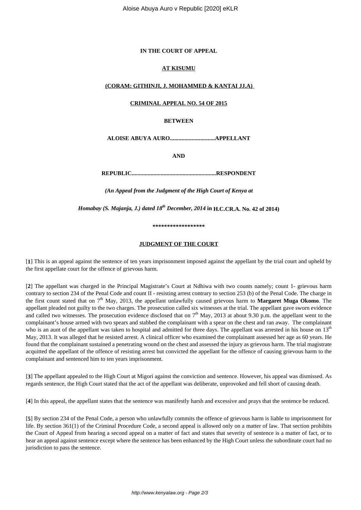## **IN THE COURT OF APPEAL**

## **AT KISUMU**

## **(CORAM: GITHINJI, J. MOHAMMED & KANTAI JJ.A)**

# **CRIMINAL APPEAL NO. 54 OF 2015**

#### **BETWEEN**

**ALOISE ABUYA AURO...............................APPELLANT**

**AND**

**REPUBLIC..........................................................RESPONDENT**

*(An Appeal from the Judgment of the High Court of Kenya at*

*Homabay (S. Majanja, J.) dated 18th December, 2014* **in H.C.CR.A. No. 42 of 2014)**

**\*\*\*\*\*\*\*\*\*\*\*\*\*\*\*\*\*\***

# **JUDGMENT OF THE COURT**

[**1**] This is an appeal against the sentence of ten years imprisonment imposed against the appellant by the trial court and upheld by the first appellate court for the offence of grievous harm.

[**2**] The appellant was charged in the Principal Magistrate's Court at Ndhiwa with two counts namely; count 1- grievous harm contrary to section 234 of the Penal Code and count II - resisting arrest contrary to section 253 (b) of the Penal Code. The charge in the first count stated that on 7th May, 2013, the appellant unlawfully caused grievous harm to **Margaret Muga Okomo**. The appellant pleaded not guilty to the two charges. The prosecution called six witnesses at the trial. The appellant gave sworn evidence and called two witnesses. The prosecution evidence disclosed that on  $7<sup>th</sup>$  May, 2013 at about 9.30 p.m. the appellant went to the complainant's house armed with two spears and stabbed the complainant with a spear on the chest and ran away. The complainant who is an aunt of the appellant was taken to hospital and admitted for three days. The appellant was arrested in his house on  $13<sup>th</sup>$ May, 2013. It was alleged that he resisted arrest. A clinical officer who examined the complainant assessed her age as 60 years. He found that the complainant sustained a penetrating wound on the chest and assessed the injury as grievous harm. The trial magistrate acquitted the appellant of the offence of resisting arrest but convicted the appellant for the offence of causing grievous harm to the complainant and sentenced him to ten years imprisonment.

[**3**] The appellant appealed to the High Court at Migori against the conviction and sentence. However, his appeal was dismissed. As regards sentence, the High Court stated that the act of the appellant was deliberate, unprovoked and fell short of causing death.

[**4**] In this appeal, the appellant states that the sentence was manifestly harsh and excessive and prays that the sentence be reduced.

[**5**] By section 234 of the Penal Code, a person who unlawfully commits the offence of grievous harm is liable to imprisonment for life. By section 361(1) of the Criminal Procedure Code, a second appeal is allowed only on a matter of law. That section prohibits the Court of Appeal from hearing a second appeal on a matter of fact and states that severity of sentence is a matter of fact, or to hear an appeal against sentence except where the sentence has been enhanced by the High Court unless the subordinate court had no jurisdiction to pass the sentence.